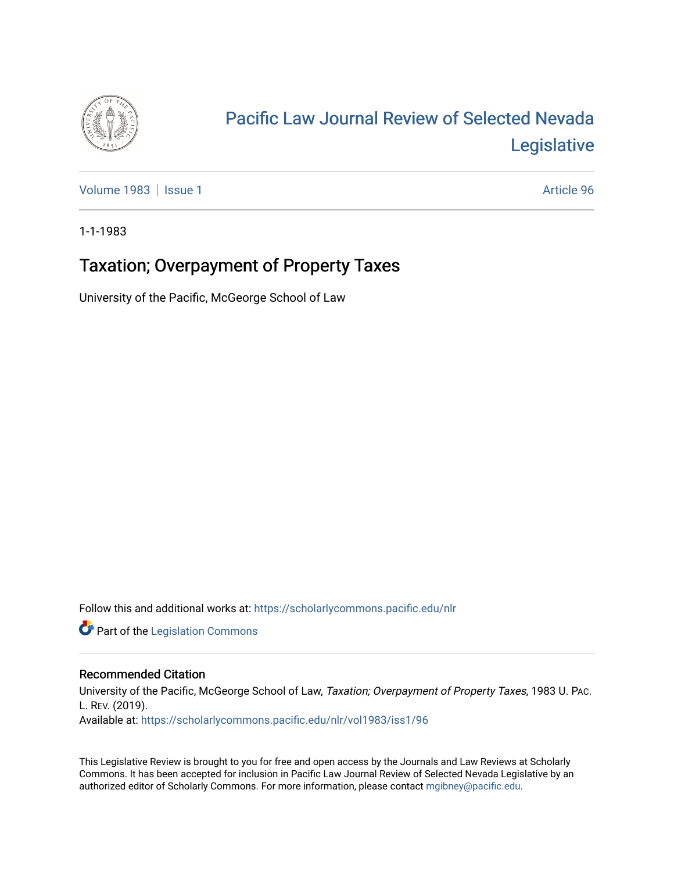

# [Pacific Law Journal Review of Selected Nevada](https://scholarlycommons.pacific.edu/nlr)  [Legislative](https://scholarlycommons.pacific.edu/nlr)

[Volume 1983](https://scholarlycommons.pacific.edu/nlr/vol1983) | [Issue 1](https://scholarlycommons.pacific.edu/nlr/vol1983/iss1) Article 96

1-1-1983

## Taxation; Overpayment of Property Taxes

University of the Pacific, McGeorge School of Law

Follow this and additional works at: [https://scholarlycommons.pacific.edu/nlr](https://scholarlycommons.pacific.edu/nlr?utm_source=scholarlycommons.pacific.edu%2Fnlr%2Fvol1983%2Fiss1%2F96&utm_medium=PDF&utm_campaign=PDFCoverPages) 

**Part of the [Legislation Commons](http://network.bepress.com/hgg/discipline/859?utm_source=scholarlycommons.pacific.edu%2Fnlr%2Fvol1983%2Fiss1%2F96&utm_medium=PDF&utm_campaign=PDFCoverPages)** 

### Recommended Citation

University of the Pacific, McGeorge School of Law, Taxation; Overpayment of Property Taxes, 1983 U. PAC. L. REV. (2019). Available at: [https://scholarlycommons.pacific.edu/nlr/vol1983/iss1/96](https://scholarlycommons.pacific.edu/nlr/vol1983/iss1/96?utm_source=scholarlycommons.pacific.edu%2Fnlr%2Fvol1983%2Fiss1%2F96&utm_medium=PDF&utm_campaign=PDFCoverPages)

This Legislative Review is brought to you for free and open access by the Journals and Law Reviews at Scholarly Commons. It has been accepted for inclusion in Pacific Law Journal Review of Selected Nevada Legislative by an authorized editor of Scholarly Commons. For more information, please contact [mgibney@pacific.edu](mailto:mgibney@pacific.edu).